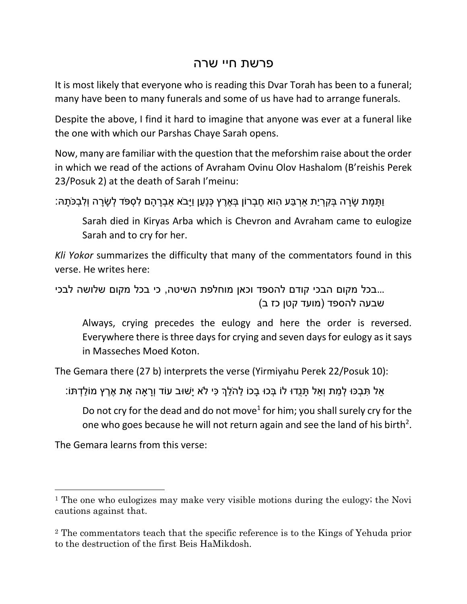## פרשת חיי שרה

It is most likely that everyone who is reading this Dvar Torah has been to a funeral; many have been to many funerals and some of us have had to arrange funerals.

Despite the above, I find it hard to imagine that anyone was ever at a funeral like the one with which our Parshas Chaye Sarah opens.

Now, many are familiar with the question that the meforshim raise about the order in which we read of the actions of Avraham Ovinu Olov Hashalom (B'reishis Perek 23/Posuk 2) at the death of Sarah I'meinu:

ַּוְּתָּמָת שָׂרָה בְּקִרְיַת אַרְבַּע הְוא חֶבְרוֹן בְּאֶרֶץ כְּנָעַן וַיָּבֹא אַבְרָהָם לְּסְפֹּד לְשָׂרָה וְלִבְכֹּתָה:

Sarah died in Kiryas Arba which is Chevron and Avraham came to eulogize Sarah and to cry for her.

*Kli Yokor* summarizes the difficulty that many of the commentators found in this verse. He writes here:

...בכל מקום הבכי קודם להספד וכאן מוחלפת השיטה, כי בכל מקום שלושה לבכי (מועד קטן כז ב) שבעה להספד

Always, crying precedes the eulogy and here the order is reversed. Everywhere there is three days for crying and seven days for eulogy as it says in Masseches Moed Koton.

The Gemara there (27 b) interprets the verse (Yirmiyahu Perek 22/Posuk 10):

ָּאל תּבְכּוּ לְמת וְאל תַּנְדוּ לֹו בְּכוּ בכו להֹלךְ כִּי לֹא יַשׁוּב עוֹד וְרָאה אֶת אֶרֶץ מוֹלדְתּוֹ:

Do not cry for the dead and do not move<sup>1</sup> for him; you shall surely cry for the one who goes because he will not return again and see the land of his birth<sup>2</sup>.

The Gemara learns from this verse:

 $\overline{\phantom{a}}$ 

<sup>&</sup>lt;sup>1</sup> The one who eulogizes may make very visible motions during the eulogy; the Novi cautions against that.

<sup>2</sup> The commentators teach that the specific reference is to the Kings of Yehuda prior to the destruction of the first Beis HaMikdosh.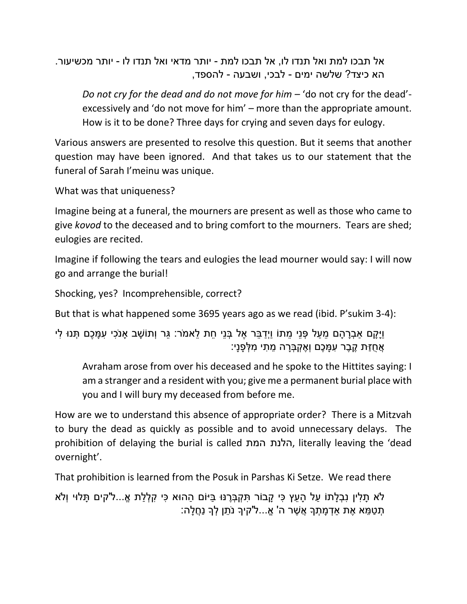אל תבכו למת ואל תנדו לו, אל תבכו למת - יותר מדאי ואל תנדו לו - יותר מכשיעור. הא כיצד? שלשה ימים - לבכי, ושבעה - להספד,

*Do not cry for the dead and do not move for him* – 'do not cry for the dead' excessively and 'do not move for him' – more than the appropriate amount. How is it to be done? Three days for crying and seven days for eulogy.

Various answers are presented to resolve this question. But it seems that another question may have been ignored. And that takes us to our statement that the funeral of Sarah I'meinu was unique.

What was that uniqueness?

Imagine being at a funeral, the mourners are present as well as those who came to give *kovod* to the deceased and to bring comfort to the mourners. Tears are shed; eulogies are recited.

Imagine if following the tears and eulogies the lead mourner would say: I will now go and arrange the burial!

Shocking, yes? Incomprehensible, correct?

But that is what happened some 3695 years ago as we read (ibid. P'sukim 3-4):

וַיַּקַם אבְרַהַם מֵעַל פָּנֵי מֵתוֹ וַיְדַבֵּר אֵל בְּנֵי חֶת לֵאמֹר: גֵּר וְתוֹשַׁב אנֹכִי עָמַּכֶם תִּנּוּ לִי ָּאֲחֻזַּת קֵבֶר עְמַּכֶם וְאֵקְבָּרָה מֵתִי מִלְּפָנַי:

Avraham arose from over his deceased and he spoke to the Hittites saying: I am a stranger and a resident with you; give me a permanent burial place with you and I will bury my deceased from before me.

How are we to understand this absence of appropriate order? There is a Mitzvah to bury the dead as quickly as possible and to avoid unnecessary delays. The prohibition of delaying the burial is called המת הלנת, literally leaving the 'dead overnight'.

That prohibition is learned from the Posuk in Parshas Ki Setze. We read there

ֿלֹא תַּלִין נִבְלַתוֹ עַל הַעֵץ כִּי קַבוֹר תִּקְבְּרֵנּוּ בַּיּוֹם הַהוּא כִּי קִלְלַת אֵ...ל'קים תַּלוּי וְלֹא ֹתְטַמֵּא אֶת אַדְמָתְךָ אֲשֶׁר ה' אֱ...ל'קיךָ נֹתֵן לְךָ נַחֲלָה: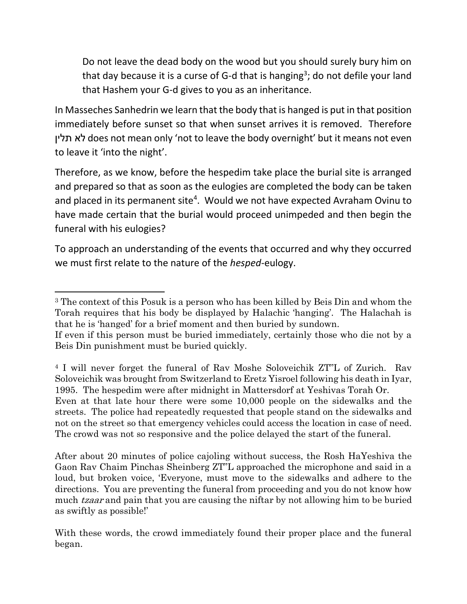Do not leave the dead body on the wood but you should surely bury him on that day because it is a curse of G-d that is hanging<sup>3</sup>; do not defile your land that Hashem your G-d gives to you as an inheritance.

In Masseches Sanhedrin we learn that the body that is hanged is put in that position immediately before sunset so that when sunset arrives it is removed. Therefore תלין לא does not mean only 'not to leave the body overnight' but it means not even to leave it 'into the night'.

Therefore, as we know, before the hespedim take place the burial site is arranged and prepared so that as soon as the eulogies are completed the body can be taken and placed in its permanent site<sup>4</sup>. Would we not have expected Avraham Ovinu to have made certain that the burial would proceed unimpeded and then begin the funeral with his eulogies?

To approach an understanding of the events that occurred and why they occurred we must first relate to the nature of the *hesped*-eulogy.

l

<sup>3</sup> The context of this Posuk is a person who has been killed by Beis Din and whom the Torah requires that his body be displayed by Halachic 'hanging'. The Halachah is that he is 'hanged' for a brief moment and then buried by sundown.

If even if this person must be buried immediately, certainly those who die not by a Beis Din punishment must be buried quickly.

<sup>4</sup> I will never forget the funeral of Rav Moshe Soloveichik ZT"L of Zurich. Rav Soloveichik was brought from Switzerland to Eretz Yisroel following his death in Iyar, 1995. The hespedim were after midnight in Mattersdorf at Yeshivas Torah Or.

Even at that late hour there were some 10,000 people on the sidewalks and the streets. The police had repeatedly requested that people stand on the sidewalks and not on the street so that emergency vehicles could access the location in case of need. The crowd was not so responsive and the police delayed the start of the funeral.

After about 20 minutes of police cajoling without success, the Rosh HaYeshiva the Gaon Rav Chaim Pinchas Sheinberg ZT"L approached the microphone and said in a loud, but broken voice, 'Everyone, must move to the sidewalks and adhere to the directions. You are preventing the funeral from proceeding and you do not know how much *tzaar* and pain that you are causing the niftar by not allowing him to be buried as swiftly as possible!'

With these words, the crowd immediately found their proper place and the funeral began.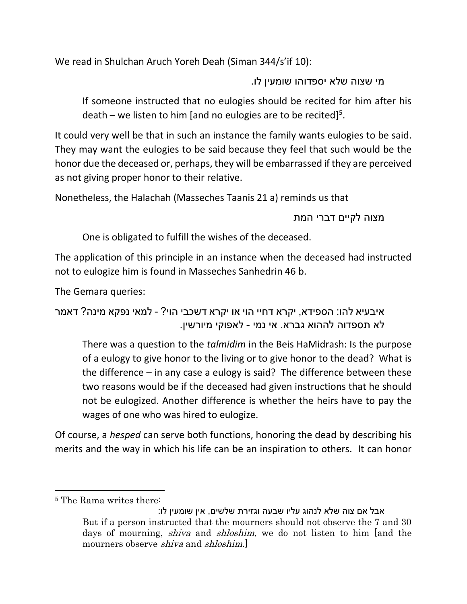We read in Shulchan Aruch Yoreh Deah (Siman 344/s'if 10):

מי שצוה שלא יספדוהו שומעין לו.

If someone instructed that no eulogies should be recited for him after his death – we listen to him [and no eulogies are to be recited]<sup>5</sup>.

It could very well be that in such an instance the family wants eulogies to be said. They may want the eulogies to be said because they feel that such would be the honor due the deceased or, perhaps, they will be embarrassed if they are perceived as not giving proper honor to their relative.

Nonetheless, the Halachah (Masseches Taanis 21 a) reminds us that

מצוה לקיים דברי המת

One is obligated to fulfill the wishes of the deceased.

The application of this principle in an instance when the deceased had instructed not to eulogize him is found in Masseches Sanhedrin 46 b.

The Gemara queries:

```
איבעיא להו: הספידא, יקרא דחיי הוי או יקרא דשכבי הוי? - למאי נפקא מינה? דאמר 
                לא תספדוה לההוא גברא. אי נמי - לאפוקי מיורשין.
```
There was a question to the *talmidim* in the Beis HaMidrash: Is the purpose of a eulogy to give honor to the living or to give honor to the dead? What is the difference – in any case a eulogy is said? The difference between these two reasons would be if the deceased had given instructions that he should not be eulogized. Another difference is whether the heirs have to pay the wages of one who was hired to eulogize.

Of course, a *hesped* can serve both functions, honoring the dead by describing his merits and the way in which his life can be an inspiration to others. It can honor

 $\overline{\phantom{a}}$ <sup>5</sup> The Rama writes there:

אבל אם צוה שלא לנהוג עליו שבעה וגזירת שלשים, אין שומעין לו: But if a person instructed that the mourners should not observe the 7 and 30 days of mourning, *shiva* and *shloshim*, we do not listen to him [and the mourners observe *shiva* and *shloshim*.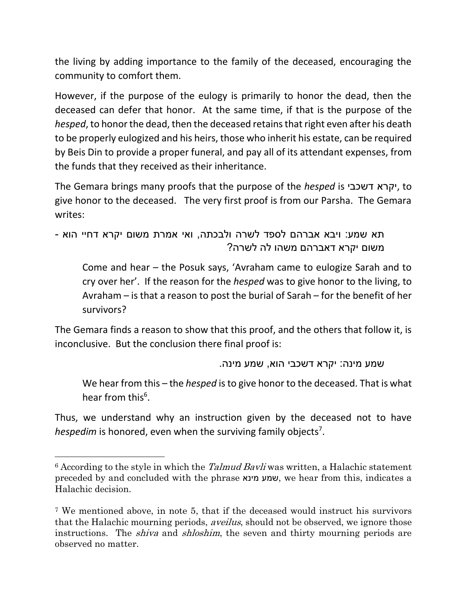the living by adding importance to the family of the deceased, encouraging the community to comfort them.

However, if the purpose of the eulogy is primarily to honor the dead, then the deceased can defer that honor. At the same time, if that is the purpose of the *hesped*, to honor the dead, then the deceased retains that right even after his death to be properly eulogized and his heirs, those who inherit his estate, can be required by Beis Din to provide a proper funeral, and pay all of its attendant expenses, from the funds that they received as their inheritance.

The Gemara brings many proofs that the purpose of the *hesped* is דשכבי יקרא, to give honor to the deceased. The very first proof is from our Parsha. The Gemara writes:

תא שמע: ויבא אברהם לספד לשרה ולבכתה, ואי אמרת משום יקרא דחיי הוא - משום יקרא דאברהם משהו לה לשרה?

Come and hear – the Posuk says, 'Avraham came to eulogize Sarah and to cry over her'. If the reason for the *hesped* was to give honor to the living, to Avraham – is that a reason to post the burial of Sarah – for the benefit of her survivors?

The Gemara finds a reason to show that this proof, and the others that follow it, is inconclusive. But the conclusion there final proof is:

שמע מינה: יקרא דשכבי הוא, שמע מינה.

We hear from this – the *hesped* is to give honor to the deceased. That is what hear from this<sup>6</sup>.

Thus, we understand why an instruction given by the deceased not to have hespedim is honored, even when the surviving family objects<sup>7</sup>.

l

 $6$  According to the style in which the *Talmud Bavli* was written, a Halachic statement preceded by and concluded with the phrase מינא שמע, we hear from this, indicates a Halachic decision.

<sup>7</sup> We mentioned above, in note 5, that if the deceased would instruct his survivors that the Halachic mourning periods, aveilus, should not be observed, we ignore those instructions. The *shiva* and *shloshim*, the seven and thirty mourning periods are observed no matter.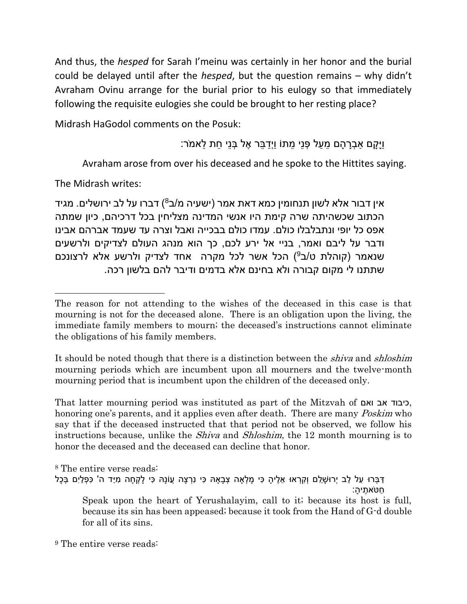And thus, the *hesped* for Sarah I'meinu was certainly in her honor and the burial could be delayed until after the *hesped*, but the question remains – why didn't Avraham Ovinu arrange for the burial prior to his eulogy so that immediately following the requisite eulogies she could be brought to her resting place?

Midrash HaGodol comments on the Posuk:

וַיַּקם אבָרהַם מעל פָּנִי מתּוֹ ווָדבּר אֵל בְּנֵי חת לאמֹר:

Avraham arose from over his deceased and he spoke to the Hittites saying.

The Midrash writes:

 $\overline{\phantom{a}}$ 

אין דבור אלא לשון תנחומין כמא דאת אמר (ישעיה מ/ב<sup>8</sup>) דברו על לב ירושלים. מגיד הכתוב שכשהיתה שרה קימת היו אנשי המדינה מצליחין בכל דרכיהם, כיון שמתה אפס כל יופי ונתבלבלו כולם. עמדו כולם בבכייה ואבל וצרה עד שעמד אברהם אבינו ודבר על ליבם ואמר, בניי אל ירע לכם, כך הוא מנהג העולם לצדיקים ולרשעים שנאמר (קוהלת ט/ב $(9)$  הכל אשר לכל מקרה  $\,$ אחד לצדיק ולרשע אלא לרצונכם שתתנו לי מקום קבורה ולא בחינם אלא בדמים ודיבר להם בלשון רכה.

It should be noted though that there is a distinction between the *shiva* and *shloshim* mourning periods which are incumbent upon all mourners and the twelve-month mourning period that is incumbent upon the children of the deceased only.

That latter mourning period was instituted as part of the Mitzvah of ואם אב כיבוד, honoring one's parents, and it applies even after death. There are many *Poskim* who say that if the deceased instructed that that period not be observed, we follow his instructions because, unlike the *Shiva* and *Shloshim*, the 12 month mourning is to honor the deceased and the deceased can decline that honor.

<sup>8</sup> The entire verse reads: ַדְּבְּרוּ עַל לֵב יְרוּשָׁלֵם וְקִרְאוּ אֶלֶיהָ כִּי מָלְאַה צְבָאָהּ כִּי נִרְצָה עֲוֹנָהּ כִּי לָקְחָה מְיַד ה' כִּפְלַיִם בְּכָל ַחטֹא ֶתי ָּה: Speak upon the heart of Yerushalayim, call to it; because its host is full, because its sin has been appeased; because it took from the Hand of G-d double for all of its sins.

<sup>9</sup> The entire verse reads:

The reason for not attending to the wishes of the deceased in this case is that mourning is not for the deceased alone. There is an obligation upon the living, the immediate family members to mourn; the deceased's instructions cannot eliminate the obligations of his family members.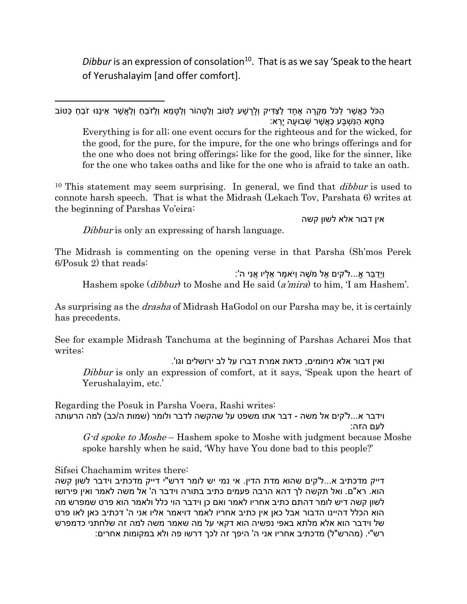*Dibbur* is an expression of consolation<sup>10</sup>. That is as we say 'Speak to the heart of Yerushalayim [and offer comfort].

ַּהַכֹּל כַּאֲשֶׁר לַכֹּל מִקְרֶה אֶחָד לַצַּדִּיק וְלָרָשָׁע לַטּוֹב וְלַשָּׁהוֹר וְלַשָּׁמֵא וְלַזֹּבֶחַ וְלַאֲשֶׁר אֵינֶּנּוּ זֹבֶחַ כַּטּוֹב ַכַּחֹטֶא הַנִּשְׁבַּע כַּאֲשֶׁר שְׁבוּעַה יַרֵּא: Everything is for all; one event occurs for the righteous and for the wicked, for the good, for the pure, for the impure, for the one who brings offerings and for the one who does not bring offerings; like for the good, like for the sinner, like for the one who takes oaths and like for the one who is afraid to take an oath. <sup>10</sup> This statement may seem surprising. In general, we find that *dibbur* is used to

connote harsh speech. That is what the Midrash (Lekach Tov, Parshata 6) writes at the beginning of Parshas Vo'eira:

אין דבור אלא לשון קשה

Dibbur is only an expressing of harsh language.

The Midrash is commenting on the opening verse in that Parsha (Sh'mos Perek 6/Posuk 2) that reads:

וַיְַּד ֵבר אֹ...ל'קים ֶאל מֹ ֶׁשה וַיֹא ֶמר ֵא ָּליו ֲאנִי ה':

Hashem spoke *(dibbur)* to Moshe and He said *(a'mira)* to him, 'I am Hashem'.

As surprising as the *drasha* of Midrash HaGodol on our Parsha may be, it is certainly has precedents.

See for example Midrash Tanchuma at the beginning of Parshas Acharei Mos that writes:

ואין דבור אלא ניחומים, כדאת אמרת דברו על לב ירושלים וגו'. Dibbur is only an expression of comfort, at it says, 'Speak upon the heart of Yerushalayim, etc.'

Regarding the Posuk in Parsha Voera, Rashi writes: וידבר א...ל'קים אל משה - דבר אתו משפט על שהקשה לדבר ולומר (שמות ה/כב) למה הרעותה לעם הזה:

G-d spoke to Moshe – Hashem spoke to Moshe with judgment because Moshe spoke harshly when he said, 'Why have You done bad to this people?'

Sifsei Chachamim writes there:

 $\overline{a}$ 

דייק מדכתיב א...ל'קים שהוא מדת הדין. אי נמי יש לומר דרש"י דייק מדכתיב וידבר לשון קשה הוא. רא"ם. ואל תקשה לך דהא הרבה פעמים כתיב בתורה וידבר ה' אל משה לאמר ואין פירושו לשון קשה דיש לומר דהתם כתיב אחריו לאמר ואם כן וידבר הוי כלל ולאמר הוא פרט שמפרש מה הוא הכלל דהיינו הדבור אבל כאן אין כתיב אחריו לאמר דויאמר אליו אני ה' דכתיב כאן לאו פרט של וידבר הוא אלא מלתא באפי נפשיה הוא דקאי על מה שאמר משה למה זה שלחתני כדמפרש רש"י. (מהרש"ל) מדכתיב אחריו אני ה' היפך זה לכך דרשו פה ולא במקומות אחרים: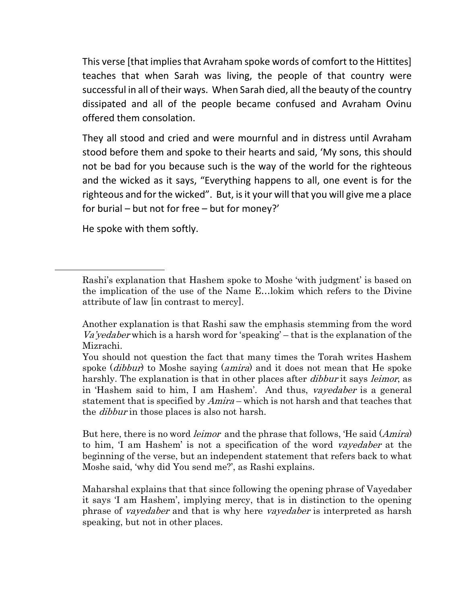This verse [that implies that Avraham spoke words of comfort to the Hittites] teaches that when Sarah was living, the people of that country were successful in all of their ways. When Sarah died, all the beauty of the country dissipated and all of the people became confused and Avraham Ovinu offered them consolation.

They all stood and cried and were mournful and in distress until Avraham stood before them and spoke to their hearts and said, 'My sons, this should not be bad for you because such is the way of the world for the righteous and the wicked as it says, "Everything happens to all, one event is for the righteous and for the wicked". But, is it your will that you will give me a place for burial – but not for free – but for money?'

He spoke with them softly.

 $\overline{\phantom{a}}$ 

But here, there is no word *leimor* and the phrase that follows, 'He said (*Amira*) to him, 'I am Hashem' is not a specification of the word *vavedaber* at the beginning of the verse, but an independent statement that refers back to what Moshe said, 'why did You send me?', as Rashi explains.

Maharshal explains that that since following the opening phrase of Vayedaber it says 'I am Hashem', implying mercy, that is in distinction to the opening phrase of *vayedaber* and that is why here *vayedaber* is interpreted as harsh speaking, but not in other places.

Rashi's explanation that Hashem spoke to Moshe 'with judgment' is based on the implication of the use of the Name E…lokim which refers to the Divine attribute of law [in contrast to mercy].

Another explanation is that Rashi saw the emphasis stemming from the word Va'yedaber which is a harsh word for 'speaking' – that is the explanation of the Mizrachi.

You should not question the fact that many times the Torah writes Hashem spoke (*dibbur*) to Moshe saying (*amira*) and it does not mean that He spoke harshly. The explanation is that in other places after *dibbur* it says *leimor*, as in 'Hashem said to him, I am Hashem'. And thus, vayedaber is a general statement that is specified by *Amira* – which is not harsh and that teaches that the *dibbur* in those places is also not harsh.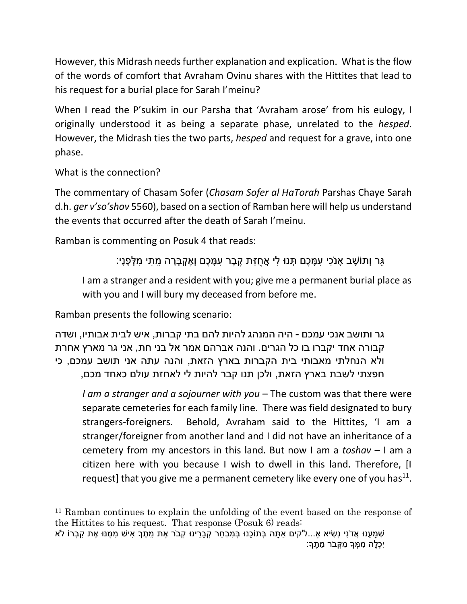However, this Midrash needs further explanation and explication. What is the flow of the words of comfort that Avraham Ovinu shares with the Hittites that lead to his request for a burial place for Sarah I'meinu?

When I read the P'sukim in our Parsha that 'Avraham arose' from his eulogy, I originally understood it as being a separate phase, unrelated to the *hesped*. However, the Midrash ties the two parts, *hesped* and request for a grave, into one phase.

What is the connection?

 $\overline{\phantom{a}}$ 

The commentary of Chasam Sofer (*Chasam Sofer al HaTorah* Parshas Chaye Sarah d.h. *ger v'so'shov* 5560), based on a section of Ramban here will help us understand the events that occurred after the death of Sarah I'meinu.

Ramban is commenting on Posuk 4 that reads:

ֶּגֶּר וְתוֹשָׁב אַנֹכִי עִמַּכֶם תְּנוּ לִי אֲחֻזַּת קֵבֶר עִמַּכֶם וְאֵקְבְּרַה מֵתִי מִלְּפַנַי:

I am a stranger and a resident with you; give me a permanent burial place as with you and I will bury my deceased from before me.

Ramban presents the following scenario:

גר ותושב אנכי עמכם - היה המנהג להיות להם בתי קברות, איש לבית אבותיו, ושדה קבורה אחד יקברו בו כל הגרים. והנה אברהם אמר אל בני חת, אני גר מארץ אחרת ולא הנחלתי מאבותי בית הקברות בארץ הזאת, והנה עתה אני תושב עמכם, כי חפצתי לשבת בארץ הזאת, ולכן תנו קבר להיות לי לאחזת עולם כאחד מכם,

*I am a stranger and a sojourner with you* – The custom was that there were separate cemeteries for each family line. There was field designated to bury strangers-foreigners. Behold, Avraham said to the Hittites, 'I am a stranger/foreigner from another land and I did not have an inheritance of a cemetery from my ancestors in this land. But now I am a *toshav* – I am a citizen here with you because I wish to dwell in this land. Therefore, [I request] that you give me a permanent cemetery like every one of you has $^{11}$ .

<sup>11</sup> Ramban continues to explain the unfolding of the event based on the response of the Hittites to his request. That response (Posuk 6) reads:

<sup>ּ</sup>שְׁמַעֲנוּ אֶדֹנִי נְשִׂיא אֱ...ל'קים אַתָּה בְּתוֹכֶנוּ בְּמִבְחַר קְבָרִינוּ קְבֹר אֶת מֱתֶךָ אִישׁ מְמֶנּוּ אֶת קִבְרוֹ לֹא יִ ְּכ ֶלה ִמ ְּמָך ִמ ְּקבֹר ֵמ ֶתָך: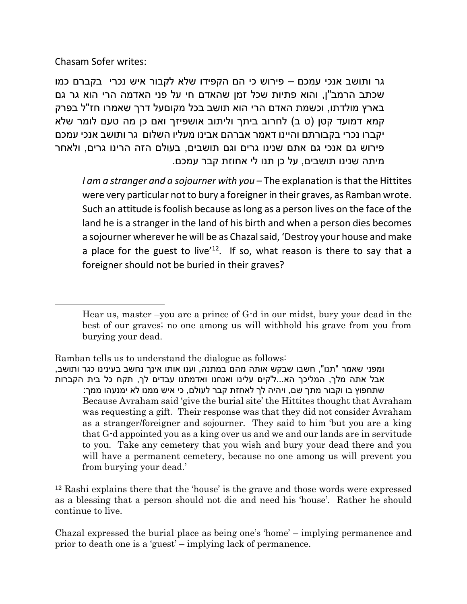Chasam Sofer writes:

 $\overline{\phantom{a}}$ 

גר ותושב אנכי עמכם – פירוש כי הם הקפידו שלא לקבור איש נכרי בקברם כמו שכתב הרמב"ן, והוא פתיות שכל זמן שהאדם חי על פני האדמה הרי הוא גר גם בארץ מולדתו, וכשמת האדם הרי הוא תושב בכל מקוםעל דרך שאמרו חז"ל בפרק קמא דמועד קטן (ט ב) לחרוב ביתך וליתוב אושפיזך ואם כן מה טעם לומר שלא יקברו נכרי בקבורתם והיינו דאמר אברהם אבינו מעליו השלום גר ותושב אנכי עמכם פירוש גם אנכי גם אתם שנינו גרים וגם תושבים, בעולם הזה הרינו גרים, ולאחר מיתה שנינו תושבים, על כן תנו לי אחוזת קבר עמכם.

*I am a stranger and a sojourner with you* – The explanation is that the Hittites were very particular not to bury a foreigner in their graves, as Ramban wrote. Such an attitude is foolish because as long as a person lives on the face of the land he is a stranger in the land of his birth and when a person dies becomes a sojourner wherever he will be as Chazal said, 'Destroy your house and make a place for the guest to live<sup> $12$ </sup>. If so, what reason is there to say that a foreigner should not be buried in their graves?

Ramban tells us to understand the dialogue as follows:

<sup>12</sup> Rashi explains there that the 'house' is the grave and those words were expressed as a blessing that a person should not die and need his 'house'. Rather he should continue to live.

Chazal expressed the burial place as being one's 'home' – implying permanence and prior to death one is a 'guest' – implying lack of permanence.

Hear us, master –you are a prince of G-d in our midst, bury your dead in the best of our graves; no one among us will withhold his grave from you from burying your dead.

ומפני שאמר "תנו", חשבו שבקש אותה מהם במתנה, וענו אותו אינך נחשב בעינינו כגר ותושב, אבל אתה מלך, המליכך הא...ל'קים עלינו ואנחנו ואדמתנו עבדים לך, תקח כל בית הקברות שתחפוץ בו וקבור מתך שם, ויהיה לך לאחזת קבר לעולם, כי איש ממנו לא ימנעהו ממך: Because Avraham said 'give the burial site' the Hittites thought that Avraham was requesting a gift. Their response was that they did not consider Avraham as a stranger/foreigner and sojourner. They said to him 'but you are a king that G-d appointed you as a king over us and we and our lands are in servitude to you. Take any cemetery that you wish and bury your dead there and you will have a permanent cemetery, because no one among us will prevent you from burying your dead.'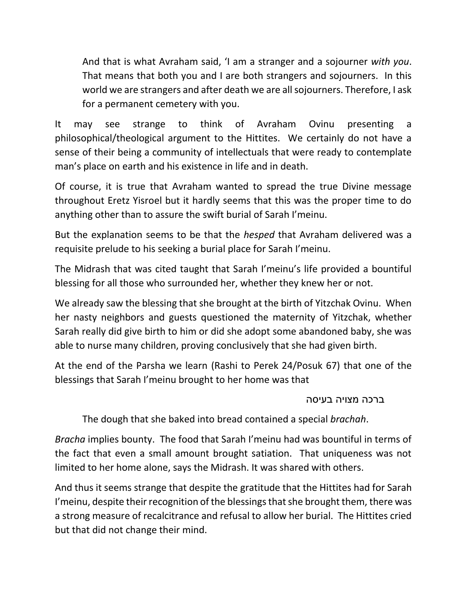And that is what Avraham said, 'I am a stranger and a sojourner *with you*. That means that both you and I are both strangers and sojourners. In this world we are strangers and after death we are all sojourners. Therefore, I ask for a permanent cemetery with you.

It may see strange to think of Avraham Ovinu presenting a philosophical/theological argument to the Hittites. We certainly do not have a sense of their being a community of intellectuals that were ready to contemplate man's place on earth and his existence in life and in death.

Of course, it is true that Avraham wanted to spread the true Divine message throughout Eretz Yisroel but it hardly seems that this was the proper time to do anything other than to assure the swift burial of Sarah I'meinu.

But the explanation seems to be that the *hesped* that Avraham delivered was a requisite prelude to his seeking a burial place for Sarah I'meinu.

The Midrash that was cited taught that Sarah I'meinu's life provided a bountiful blessing for all those who surrounded her, whether they knew her or not.

We already saw the blessing that she brought at the birth of Yitzchak Ovinu. When her nasty neighbors and guests questioned the maternity of Yitzchak, whether Sarah really did give birth to him or did she adopt some abandoned baby, she was able to nurse many children, proving conclusively that she had given birth.

At the end of the Parsha we learn (Rashi to Perek 24/Posuk 67) that one of the blessings that Sarah I'meinu brought to her home was that

ברכה מצויה בעיסה

The dough that she baked into bread contained a special *brachah*.

*Bracha* implies bounty. The food that Sarah I'meinu had was bountiful in terms of the fact that even a small amount brought satiation. That uniqueness was not limited to her home alone, says the Midrash. It was shared with others.

And thus it seems strange that despite the gratitude that the Hittites had for Sarah I'meinu, despite their recognition of the blessings that she brought them, there was a strong measure of recalcitrance and refusal to allow her burial. The Hittites cried but that did not change their mind.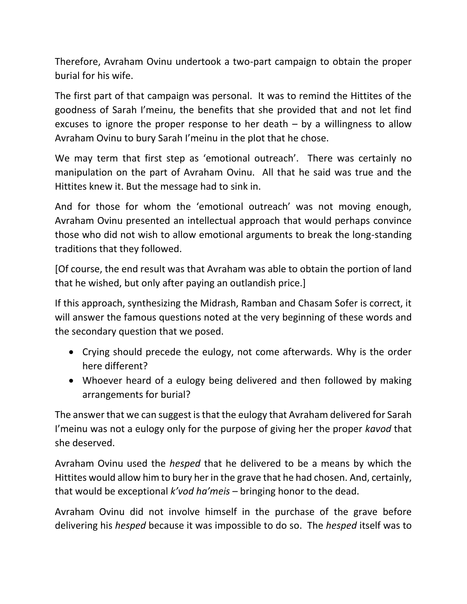Therefore, Avraham Ovinu undertook a two-part campaign to obtain the proper burial for his wife.

The first part of that campaign was personal. It was to remind the Hittites of the goodness of Sarah I'meinu, the benefits that she provided that and not let find excuses to ignore the proper response to her death  $-$  by a willingness to allow Avraham Ovinu to bury Sarah I'meinu in the plot that he chose.

We may term that first step as 'emotional outreach'. There was certainly no manipulation on the part of Avraham Ovinu. All that he said was true and the Hittites knew it. But the message had to sink in.

And for those for whom the 'emotional outreach' was not moving enough, Avraham Ovinu presented an intellectual approach that would perhaps convince those who did not wish to allow emotional arguments to break the long-standing traditions that they followed.

[Of course, the end result was that Avraham was able to obtain the portion of land that he wished, but only after paying an outlandish price.]

If this approach, synthesizing the Midrash, Ramban and Chasam Sofer is correct, it will answer the famous questions noted at the very beginning of these words and the secondary question that we posed.

- Crying should precede the eulogy, not come afterwards. Why is the order here different?
- Whoever heard of a eulogy being delivered and then followed by making arrangements for burial?

The answer that we can suggest is that the eulogy that Avraham delivered for Sarah I'meinu was not a eulogy only for the purpose of giving her the proper *kavod* that she deserved.

Avraham Ovinu used the *hesped* that he delivered to be a means by which the Hittites would allow him to bury her in the grave that he had chosen. And, certainly, that would be exceptional *k'vod ha'meis* – bringing honor to the dead.

Avraham Ovinu did not involve himself in the purchase of the grave before delivering his *hesped* because it was impossible to do so. The *hesped* itself was to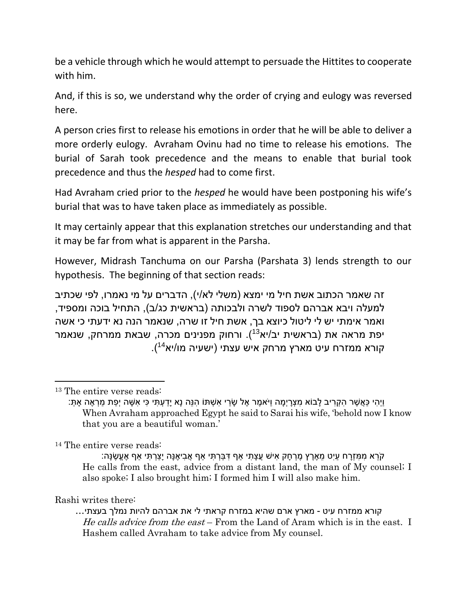be a vehicle through which he would attempt to persuade the Hittites to cooperate with him.

And, if this is so, we understand why the order of crying and eulogy was reversed here.

A person cries first to release his emotions in order that he will be able to deliver a more orderly eulogy. Avraham Ovinu had no time to release his emotions. The burial of Sarah took precedence and the means to enable that burial took precedence and thus the *hesped* had to come first.

Had Avraham cried prior to the *hesped* he would have been postponing his wife's burial that was to have taken place as immediately as possible.

It may certainly appear that this explanation stretches our understanding and that it may be far from what is apparent in the Parsha.

However, Midrash Tanchuma on our Parsha (Parshata 3) lends strength to our hypothesis. The beginning of that section reads:

זה שאמר הכתוב אשת חיל מי ימצא (משלי לא/י), הדברים על מי נאמרו, לפי שכתיב למעלה ויבא אברהם לספוד לשרה ולבכותה (בראשית כג/ב), התחיל בוכה ומספיד, ואמר אימתי יש לי ליטול כיוצא בך, אשת חיל זו שרה, שנאמר הנה נא ידעתי כי אשה יפת מראה את (בראשית יב/יא<sup>13</sup>). ורחוק מפנינים מכרה, שבאת ממרחק, שנאמר (. <sup>14</sup> קורא ממזרח עיט מארץ מרחק איש עצתי )ישעיה מו/יא

l

<sup>14</sup> The entire verse reads:

ָּהֹרְא מִמִּזְרַח עַיט מָאֶרֶץ מֶרְחַק אִישׁ עֲצַתִּי אף דְּבֵּרְתִּי אף אֶבִיאֶנַּה יַצַרְתִּי אף אֶעֱשֶׂנַּה: He calls from the east, advice from a distant land, the man of My counsel; I also spoke; I also brought him; I formed him I will also make him.

## Rashi writes there:

קורא ממזרח עיט - מארץ ארם שהיא במזרח קראתי לי את אברהם להיות נמלך בעצתי... He calls advice from the east – From the Land of Aram which is in the east. I Hashem called Avraham to take advice from My counsel.

<sup>13</sup> The entire verse reads:

<sup>ְ</sup>יָּהִי כָּאֲשֶׁר הִקְרִיב לַבוֹא מִצְרַיְמָה וַיֹּאמֶר אֶל שַׂרַי אִשָׁתּוֹ הִנֵּה נָא יַדַעְתִּי כִּי אִשָּׁה יְפַת מַרְאֶה אַתְּ: When Avraham approached Egypt he said to Sarai his wife, 'behold now I know that you are a beautiful woman.'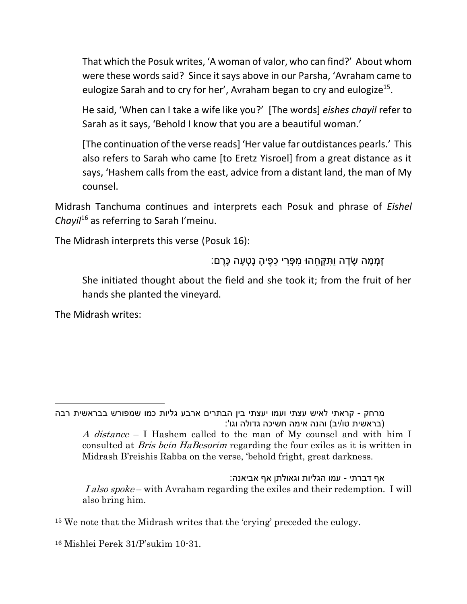That which the Posuk writes, 'A woman of valor, who can find?' About whom were these words said? Since it says above in our Parsha, 'Avraham came to eulogize Sarah and to cry for her', Avraham began to cry and eulogize<sup>15</sup>.

He said, 'When can I take a wife like you?' [The words] *eishes chayil* refer to Sarah as it says, 'Behold I know that you are a beautiful woman.'

[The continuation of the verse reads] 'Her value far outdistances pearls.' This also refers to Sarah who came [to Eretz Yisroel] from a great distance as it says, 'Hashem calls from the east, advice from a distant land, the man of My counsel.

Midrash Tanchuma continues and interprets each Posuk and phrase of *Eishel Chayil*<sup>16</sup> as referring to Sarah I'meinu.

The Midrash interprets this verse (Posuk 16):

ָּזְמְמָה שָׂדֶה וַתִּקְחֵהוּ מִפְּרִי כַפֶּיהָ נָטְעָה כָּרֶם:

She initiated thought about the field and she took it; from the fruit of her hands she planted the vineyard.

The Midrash writes:

 $\overline{a}$ 

מרחק - קראתי לאיש עצתי ועמו יעצתי בין הבתרים ארבע גליות כמו שמפורש בבראשית רבה בראשית טו/יב) והנה אימה חשיכה גדולה וגו': A distance – I Hashem called to the man of My counsel and with him I consulted at Bris bein HaBesorim regarding the four exiles as it is written in

Midrash B'reishis Rabba on the verse, 'behold fright, great darkness.

אף דברתי - עמו הגליות וגאולתן אף אביאנה: I also spoke – with Avraham regarding the exiles and their redemption. I will also bring him.

<sup>15</sup> We note that the Midrash writes that the 'crying' preceded the eulogy.

<sup>16</sup> Mishlei Perek 31/P'sukim 10-31.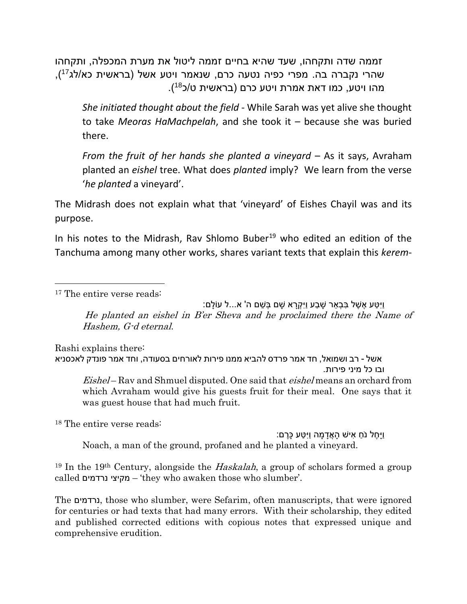זממה שדה ותקחהו, שעד שהיא בחיים זממה ליטול את מערת המכפלה, ותקחהו שהרי נקברה בה. מפרי כפיה נטעה כרם, שנאמר ויטע אשל (בראשית כא/לג<sup>17</sup>), מהו ויטע, כמו דאת אמרת ויטע כרם (בראשית ט/כ<sup>18</sup>).

*She initiated thought about the field* - While Sarah was yet alive she thought to take *Meoras HaMachpelah*, and she took it – because she was buried there.

*From the fruit of her hands she planted a vineyard* – As it says, Avraham planted an *eishel* tree. What does *planted* imply? We learn from the verse '*he planted* a vineyard'.

The Midrash does not explain what that 'vineyard' of Eishes Chayil was and its purpose.

In his notes to the Midrash, Rav Shlomo Buber<sup>19</sup> who edited an edition of the Tanchuma among many other works, shares variant texts that explain this *kerem*-

<sup>17</sup> The entire verse reads:

 $\overline{\phantom{a}}$ 

וַיִ ַטע ֶא ֶׁשל ִב ְּב ֵאר ָּׁש ַבע וַיִ ְּקָּרא ָּׁשם ְּב ֵׁשם ה' א...ל עֹולָּם: He planted an eishel in B'er Sheva and he proclaimed there the Name of Hashem, G-d eternal.

Rashi explains there: אשל - רב ושמואל, חד אמר פרדס להביא ממנו פירות לאורחים בסעודה, וחד אמר פונדק לאכסניא ובו כל מיני פירות. Eishel – Rav and Shmuel disputed. One said that *eishel* means an orchard from

which Avraham would give his guests fruit for their meal. One says that it was guest house that had much fruit.

<sup>18</sup> The entire verse reads:

וַיַּחֶל נֹחַ אִישׁ הַאֲדַמָּה וַיִּטָּע כַּרֵם: Noach, a man of the ground, profaned and he planted a vineyard.

<sup>19</sup> In the 19<sup>th</sup> Century, alongside the *Haskalah*, a group of scholars formed a group called נרדמים מקיצי' – they who awaken those who slumber'.

The נרדמים, those who slumber, were Sefarim, often manuscripts, that were ignored for centuries or had texts that had many errors. With their scholarship, they edited and published corrected editions with copious notes that expressed unique and comprehensive erudition.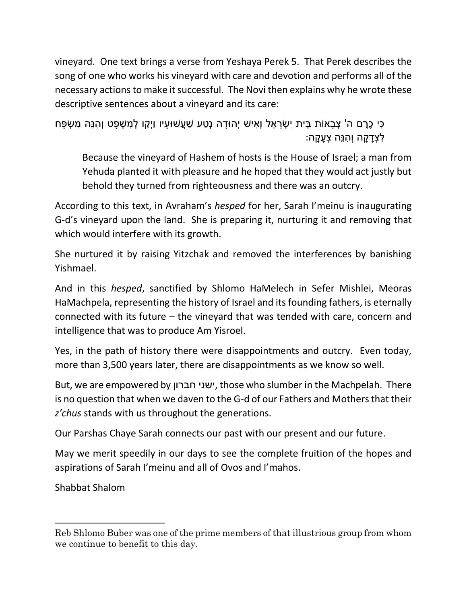vineyard. One text brings a verse from Yeshaya Perek 5. That Perek describes the song of one who works his vineyard with care and devotion and performs all of the necessary actions to make it successful. The Novi then explains why he wrote these descriptive sentences about a vineyard and its care:

```
ָּכִּי כֶּרֶם ה' צְבָאוֹת בֵּית יְשָׂרַאֵל וְאִישׁ יְהוּדַה נְטַע שַׁעֲשׁוּעַיו וַיְּקַו לְמִשְׁפָּט וְהִנֵּה מִשְׂפָּח
                                                                               ַ לְצְדַקַה וְהִנֶּה צְעֲקַה:
```
Because the vineyard of Hashem of hosts is the House of Israel; a man from Yehuda planted it with pleasure and he hoped that they would act justly but behold they turned from righteousness and there was an outcry.

According to this text, in Avraham's *hesped* for her, Sarah I'meinu is inaugurating G-d's vineyard upon the land. She is preparing it, nurturing it and removing that which would interfere with its growth.

She nurtured it by raising Yitzchak and removed the interferences by banishing Yishmael.

And in this *hesped*, sanctified by Shlomo HaMelech in Sefer Mishlei, Meoras HaMachpela, representing the history of Israel and its founding fathers, is eternally connected with its future – the vineyard that was tended with care, concern and intelligence that was to produce Am Yisroel.

Yes, in the path of history there were disappointments and outcry. Even today, more than 3,500 years later, there are disappointments as we know so well.

But, we are empowered by חברון ישני, those who slumber in the Machpelah. There is no question that when we daven to the G-d of our Fathers and Mothers that their *z'chus* stands with us throughout the generations.

Our Parshas Chaye Sarah connects our past with our present and our future.

May we merit speedily in our days to see the complete fruition of the hopes and aspirations of Sarah I'meinu and all of Ovos and I'mahos.

Shabbat Shalom

 $\overline{\phantom{a}}$ 

Reb Shlomo Buber was one of the prime members of that illustrious group from whom we continue to benefit to this day.